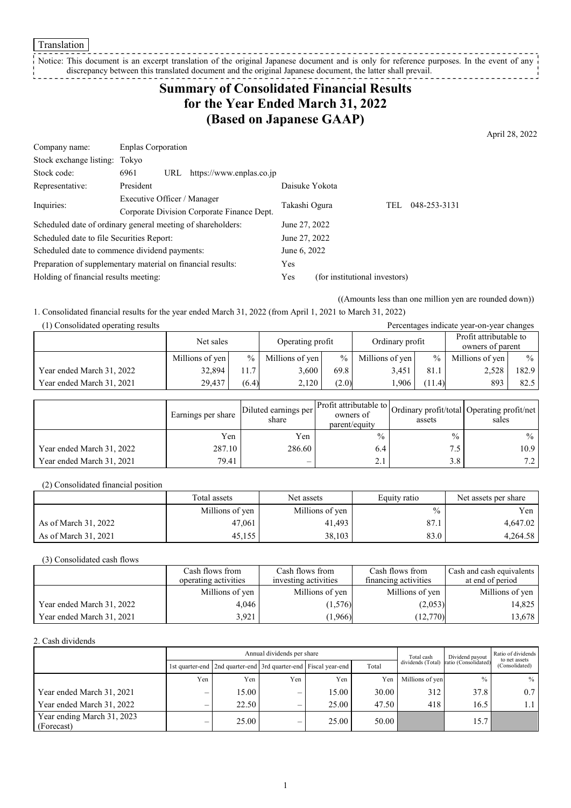Translation

#### Notice: This document is an excerpt translation of the original Japanese document and is only for reference purposes. In the event of any discrepancy between this translated document and the original Japanese document, the latter shall prevail. <u> ------------</u>

## **Summary of Consolidated Financial Results for the Year Ended March 31, 2022 (Based on Japanese GAAP)**

April 28, 2022

| Company name:                                               | <b>Enplas Corporation</b>                  |              |                          |                |                               |              |
|-------------------------------------------------------------|--------------------------------------------|--------------|--------------------------|----------------|-------------------------------|--------------|
| Stock exchange listing: Tokyo                               |                                            |              |                          |                |                               |              |
| Stock code:                                                 | 6961                                       | URL          | https://www.enplas.co.jp |                |                               |              |
| Representative:                                             | President                                  |              |                          | Daisuke Yokota |                               |              |
| Inquiries:                                                  | Executive Officer / Manager                |              |                          | Takashi Ogura  |                               | 048-253-3131 |
|                                                             | Corporate Division Corporate Finance Dept. |              |                          | TEL            |                               |              |
| Scheduled date of ordinary general meeting of shareholders: |                                            |              |                          | June 27, 2022  |                               |              |
| Scheduled date to file Securities Report:                   |                                            |              |                          | June 27, 2022  |                               |              |
| Scheduled date to commence dividend payments:               |                                            | June 6, 2022 |                          |                |                               |              |
| Preparation of supplementary material on financial results: |                                            |              |                          | Yes            |                               |              |
| Holding of financial results meeting:                       |                                            |              |                          | Yes            | (for institutional investors) |              |

((Amounts less than one million yen are rounded down))

1. Consolidated financial results for the year ended March 31, 2022 (from April 1, 2021 to March 31, 2022)

| (1) Consolidated operating results<br>Percentages indicate year-on-year changes |                 |               |                  |               |                 |               |                                            |       |
|---------------------------------------------------------------------------------|-----------------|---------------|------------------|---------------|-----------------|---------------|--------------------------------------------|-------|
|                                                                                 | Net sales       |               | Operating profit |               | Ordinary profit |               | Profit attributable to<br>owners of parent |       |
|                                                                                 | Millions of yen | $\frac{0}{0}$ | Millions of yen  | $\frac{0}{0}$ | Millions of yen | $\frac{0}{0}$ | Millions of yen                            | $\%$  |
| Year ended March 31, 2022                                                       | 32,894          | 11.7          | 3.600            | 69.8          | 3.451           | 81.1          | 2,528                                      | 182.9 |
| Year ended March 31, 2021                                                       | 29.437          | (6.4)         | 2.120            | (2.0)         | 1.906           | (11.4)        | 893                                        | 82.5  |

|                           | Earnings per share | Diluted earnings per<br>share | parent/equity | assets        | ner Profit attributable to Ordinary profit/total Operating profit/net<br>sales |
|---------------------------|--------------------|-------------------------------|---------------|---------------|--------------------------------------------------------------------------------|
|                           | Yen                | Yen                           | $\frac{0}{0}$ | $\frac{0}{0}$ | $\%$ 1                                                                         |
| Year ended March 31, 2022 | 287.10             | 286.60                        | 6.4           | 7.5           | 10.9                                                                           |
| Year ended March 31, 2021 | 79.41              | $\overline{\phantom{0}}$      | 2.1           | 3.8           | 7.2 <sub>1</sub>                                                               |

(2) Consolidated financial position

|                      | Total assets    | Net assets      | Equity ratio  | Net assets per share |
|----------------------|-----------------|-----------------|---------------|----------------------|
|                      | Millions of yen | Millions of yen | $\frac{0}{0}$ | Yen                  |
| As of March 31, 2022 | 47.061          | 41.493          | 87.1          | 4.647.02             |
| As of March 31, 2021 | 45,155          | 38,103          | 83.0          | 4,264.58             |

(3) Consolidated cash flows

|                           | Cash flows from      | Cash flows from      | Cash flows from      | Cash and cash equivalents |
|---------------------------|----------------------|----------------------|----------------------|---------------------------|
|                           | operating activities | investing activities | financing activities | at end of period          |
|                           | Millions of yen      | Millions of yen      | Millions of yen      | Millions of yen           |
| Year ended March 31, 2022 | 4.046                | (1,576)              | (2,053)              | 14,825                    |
| Year ended March 31, 2021 | 3.921                | (1,966)              | (12,770)             | 13,678                    |

2. Cash dividends

|                                          | Annual dividends per share |                                                                       |                          |       |       | Total cash      | Dividend payout                        | Ratio of dividends<br>to net assets |
|------------------------------------------|----------------------------|-----------------------------------------------------------------------|--------------------------|-------|-------|-----------------|----------------------------------------|-------------------------------------|
|                                          |                            | 1st quarter-end   2nd quarter-end   3rd quarter-end   Fiscal year-end |                          |       | Total |                 | dividends (Total) ratio (Consolidated) | (Consolidated)                      |
|                                          | Yen                        | Yen                                                                   | Yen                      | Yen   | Yen   | Millions of yen | $\frac{0}{0}$                          | $\%$                                |
| Year ended March 31, 2021                | –                          | 15.00                                                                 | –                        | 15.00 | 30.00 | 312             | 37.8                                   | 0.7                                 |
| Year ended March 31, 2022                | $\overline{\phantom{0}}$   | 22.50                                                                 | $\overline{\phantom{0}}$ | 25.00 | 47.50 | 418             | 16.5                                   |                                     |
| Year ending March 31, 2023<br>(Forecast) | $\overline{\phantom{0}}$   | 25.00                                                                 | $\overline{\phantom{0}}$ | 25.00 | 50.00 |                 | 15.7                                   |                                     |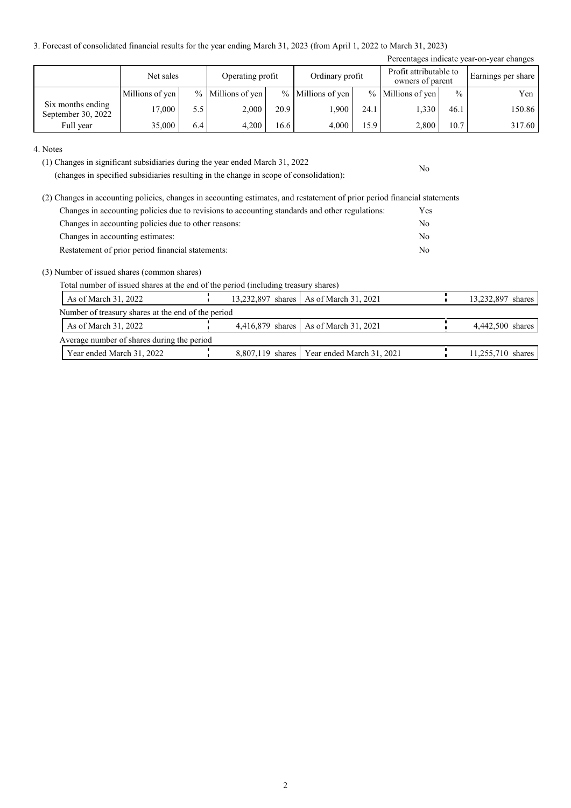3. Forecast of consolidated financial results for the year ending March 31, 2023 (from April 1, 2022 to March 31, 2023)

|                                         |                 |     |                     |      |                   |      |                                            |               | Percentages indicate year-on-year changes |
|-----------------------------------------|-----------------|-----|---------------------|------|-------------------|------|--------------------------------------------|---------------|-------------------------------------------|
|                                         | Net sales       |     | Operating profit    |      | Ordinary profit   |      | Profit attributable to<br>owners of parent |               | Earnings per share                        |
|                                         | Millions of yen |     | $%$ Millions of yen |      | % Millions of yen |      | $%$ Millions of yen                        | $\frac{0}{0}$ | Yen                                       |
| Six months ending<br>September 30, 2022 | 17.000          | 5.5 | 2,000               | 20.9 | l.900             | 24.1 | 1,330                                      | 46.1          | 150.86                                    |
| Full year                               | 35,000          | 6.4 | 4,200               | 16.6 | 4.000             | 15.9 | 2,800                                      | 10.7          | 317.60                                    |

No

4. Notes

(1) Changes in significant subsidiaries during the year ended March 31, 2022

(changes in specified subsidiaries resulting in the change in scope of consolidation):

| (2) Changes in accounting policies, changes in accounting estimates, and restatement of prior period financial statements |            |
|---------------------------------------------------------------------------------------------------------------------------|------------|
| Changes in accounting policies due to revisions to accounting standards and other regulations:                            | <b>Yes</b> |
| Changes in accounting policies due to other reasons:                                                                      | No         |
| Changes in accounting estimates:                                                                                          | No         |
| Restatement of prior period financial statements:                                                                         | No         |

(3) Number of issued shares (common shares)

Total number of issued shares at the end of the period (including treasury shares)

| As of March 31, 2022                               |  | 13,232,897 shares   As of March 31, 2021     | 13,232,897 shares |
|----------------------------------------------------|--|----------------------------------------------|-------------------|
| Number of treasury shares at the end of the period |  |                                              |                   |
| As of March 31, 2022                               |  | 4,416,879 shares   As of March 31, 2021      | 4,442,500 shares  |
| Average number of shares during the period         |  |                                              |                   |
| Year ended March 31, 2022                          |  | 8,807,119 shares   Year ended March 31, 2021 | 11,255,710 shares |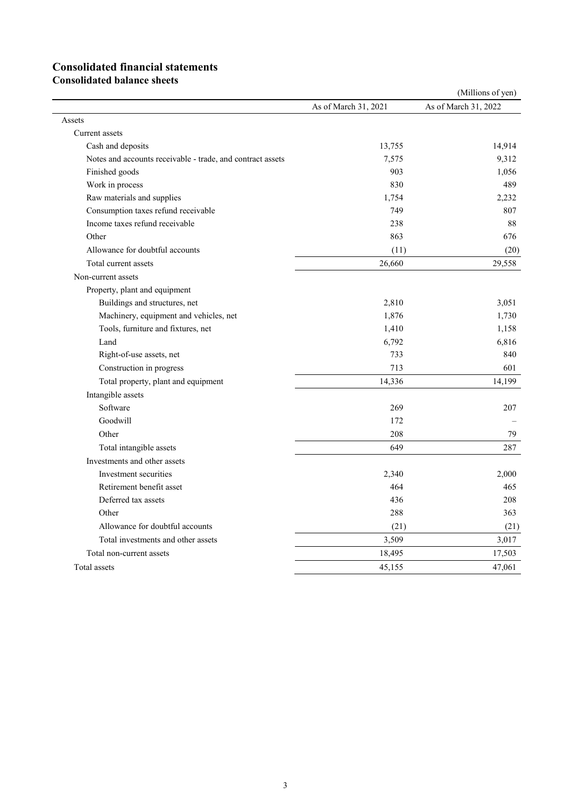# **Consolidated financial statements**

**Consolidated balance sheets**

| As of March 31, 2022<br>As of March 31, 2021<br>Assets<br>Current assets<br>14,914<br>13,755<br>Cash and deposits<br>9,312<br>Notes and accounts receivable - trade, and contract assets<br>7,575<br>Finished goods<br>903<br>1,056<br>Work in process<br>489<br>830<br>Raw materials and supplies<br>1,754<br>2,232<br>Consumption taxes refund receivable<br>749<br>807<br>Income taxes refund receivable<br>238<br>88<br>Other<br>863<br>676<br>Allowance for doubtful accounts<br>(11)<br>(20)<br>26,660<br>29,558<br>Total current assets<br>Non-current assets<br>Property, plant and equipment<br>Buildings and structures, net<br>2,810<br>3,051<br>Machinery, equipment and vehicles, net<br>1,876<br>1,730<br>Tools, furniture and fixtures, net<br>1,410<br>1,158<br>Land<br>6,792<br>6,816<br>Right-of-use assets, net<br>733<br>840<br>Construction in progress<br>713<br>601<br>14,336<br>Total property, plant and equipment<br>14,199<br>Intangible assets<br>Software<br>269<br>207<br>Goodwill<br>172<br>208<br>79<br>Other<br>649<br>Total intangible assets<br>287<br>Investments and other assets<br>2,000<br>Investment securities<br>2,340<br>Retirement benefit asset<br>464<br>465<br>Deferred tax assets<br>208<br>436<br>Other<br>288<br>363<br>Allowance for doubtful accounts<br>(21)<br>(21)<br>Total investments and other assets<br>3,509<br>3,017<br>17,503<br>Total non-current assets<br>18,495<br>45,155<br>47,061<br>Total assets |  | (Millions of yen) |
|------------------------------------------------------------------------------------------------------------------------------------------------------------------------------------------------------------------------------------------------------------------------------------------------------------------------------------------------------------------------------------------------------------------------------------------------------------------------------------------------------------------------------------------------------------------------------------------------------------------------------------------------------------------------------------------------------------------------------------------------------------------------------------------------------------------------------------------------------------------------------------------------------------------------------------------------------------------------------------------------------------------------------------------------------------------------------------------------------------------------------------------------------------------------------------------------------------------------------------------------------------------------------------------------------------------------------------------------------------------------------------------------------------------------------------------------------------------------|--|-------------------|
|                                                                                                                                                                                                                                                                                                                                                                                                                                                                                                                                                                                                                                                                                                                                                                                                                                                                                                                                                                                                                                                                                                                                                                                                                                                                                                                                                                                                                                                                        |  |                   |
|                                                                                                                                                                                                                                                                                                                                                                                                                                                                                                                                                                                                                                                                                                                                                                                                                                                                                                                                                                                                                                                                                                                                                                                                                                                                                                                                                                                                                                                                        |  |                   |
|                                                                                                                                                                                                                                                                                                                                                                                                                                                                                                                                                                                                                                                                                                                                                                                                                                                                                                                                                                                                                                                                                                                                                                                                                                                                                                                                                                                                                                                                        |  |                   |
|                                                                                                                                                                                                                                                                                                                                                                                                                                                                                                                                                                                                                                                                                                                                                                                                                                                                                                                                                                                                                                                                                                                                                                                                                                                                                                                                                                                                                                                                        |  |                   |
|                                                                                                                                                                                                                                                                                                                                                                                                                                                                                                                                                                                                                                                                                                                                                                                                                                                                                                                                                                                                                                                                                                                                                                                                                                                                                                                                                                                                                                                                        |  |                   |
|                                                                                                                                                                                                                                                                                                                                                                                                                                                                                                                                                                                                                                                                                                                                                                                                                                                                                                                                                                                                                                                                                                                                                                                                                                                                                                                                                                                                                                                                        |  |                   |
|                                                                                                                                                                                                                                                                                                                                                                                                                                                                                                                                                                                                                                                                                                                                                                                                                                                                                                                                                                                                                                                                                                                                                                                                                                                                                                                                                                                                                                                                        |  |                   |
|                                                                                                                                                                                                                                                                                                                                                                                                                                                                                                                                                                                                                                                                                                                                                                                                                                                                                                                                                                                                                                                                                                                                                                                                                                                                                                                                                                                                                                                                        |  |                   |
|                                                                                                                                                                                                                                                                                                                                                                                                                                                                                                                                                                                                                                                                                                                                                                                                                                                                                                                                                                                                                                                                                                                                                                                                                                                                                                                                                                                                                                                                        |  |                   |
|                                                                                                                                                                                                                                                                                                                                                                                                                                                                                                                                                                                                                                                                                                                                                                                                                                                                                                                                                                                                                                                                                                                                                                                                                                                                                                                                                                                                                                                                        |  |                   |
|                                                                                                                                                                                                                                                                                                                                                                                                                                                                                                                                                                                                                                                                                                                                                                                                                                                                                                                                                                                                                                                                                                                                                                                                                                                                                                                                                                                                                                                                        |  |                   |
|                                                                                                                                                                                                                                                                                                                                                                                                                                                                                                                                                                                                                                                                                                                                                                                                                                                                                                                                                                                                                                                                                                                                                                                                                                                                                                                                                                                                                                                                        |  |                   |
|                                                                                                                                                                                                                                                                                                                                                                                                                                                                                                                                                                                                                                                                                                                                                                                                                                                                                                                                                                                                                                                                                                                                                                                                                                                                                                                                                                                                                                                                        |  |                   |
|                                                                                                                                                                                                                                                                                                                                                                                                                                                                                                                                                                                                                                                                                                                                                                                                                                                                                                                                                                                                                                                                                                                                                                                                                                                                                                                                                                                                                                                                        |  |                   |
|                                                                                                                                                                                                                                                                                                                                                                                                                                                                                                                                                                                                                                                                                                                                                                                                                                                                                                                                                                                                                                                                                                                                                                                                                                                                                                                                                                                                                                                                        |  |                   |
|                                                                                                                                                                                                                                                                                                                                                                                                                                                                                                                                                                                                                                                                                                                                                                                                                                                                                                                                                                                                                                                                                                                                                                                                                                                                                                                                                                                                                                                                        |  |                   |
|                                                                                                                                                                                                                                                                                                                                                                                                                                                                                                                                                                                                                                                                                                                                                                                                                                                                                                                                                                                                                                                                                                                                                                                                                                                                                                                                                                                                                                                                        |  |                   |
|                                                                                                                                                                                                                                                                                                                                                                                                                                                                                                                                                                                                                                                                                                                                                                                                                                                                                                                                                                                                                                                                                                                                                                                                                                                                                                                                                                                                                                                                        |  |                   |
|                                                                                                                                                                                                                                                                                                                                                                                                                                                                                                                                                                                                                                                                                                                                                                                                                                                                                                                                                                                                                                                                                                                                                                                                                                                                                                                                                                                                                                                                        |  |                   |
|                                                                                                                                                                                                                                                                                                                                                                                                                                                                                                                                                                                                                                                                                                                                                                                                                                                                                                                                                                                                                                                                                                                                                                                                                                                                                                                                                                                                                                                                        |  |                   |
|                                                                                                                                                                                                                                                                                                                                                                                                                                                                                                                                                                                                                                                                                                                                                                                                                                                                                                                                                                                                                                                                                                                                                                                                                                                                                                                                                                                                                                                                        |  |                   |
|                                                                                                                                                                                                                                                                                                                                                                                                                                                                                                                                                                                                                                                                                                                                                                                                                                                                                                                                                                                                                                                                                                                                                                                                                                                                                                                                                                                                                                                                        |  |                   |
|                                                                                                                                                                                                                                                                                                                                                                                                                                                                                                                                                                                                                                                                                                                                                                                                                                                                                                                                                                                                                                                                                                                                                                                                                                                                                                                                                                                                                                                                        |  |                   |
|                                                                                                                                                                                                                                                                                                                                                                                                                                                                                                                                                                                                                                                                                                                                                                                                                                                                                                                                                                                                                                                                                                                                                                                                                                                                                                                                                                                                                                                                        |  |                   |
|                                                                                                                                                                                                                                                                                                                                                                                                                                                                                                                                                                                                                                                                                                                                                                                                                                                                                                                                                                                                                                                                                                                                                                                                                                                                                                                                                                                                                                                                        |  |                   |
|                                                                                                                                                                                                                                                                                                                                                                                                                                                                                                                                                                                                                                                                                                                                                                                                                                                                                                                                                                                                                                                                                                                                                                                                                                                                                                                                                                                                                                                                        |  |                   |
|                                                                                                                                                                                                                                                                                                                                                                                                                                                                                                                                                                                                                                                                                                                                                                                                                                                                                                                                                                                                                                                                                                                                                                                                                                                                                                                                                                                                                                                                        |  |                   |
|                                                                                                                                                                                                                                                                                                                                                                                                                                                                                                                                                                                                                                                                                                                                                                                                                                                                                                                                                                                                                                                                                                                                                                                                                                                                                                                                                                                                                                                                        |  |                   |
|                                                                                                                                                                                                                                                                                                                                                                                                                                                                                                                                                                                                                                                                                                                                                                                                                                                                                                                                                                                                                                                                                                                                                                                                                                                                                                                                                                                                                                                                        |  |                   |
|                                                                                                                                                                                                                                                                                                                                                                                                                                                                                                                                                                                                                                                                                                                                                                                                                                                                                                                                                                                                                                                                                                                                                                                                                                                                                                                                                                                                                                                                        |  |                   |
|                                                                                                                                                                                                                                                                                                                                                                                                                                                                                                                                                                                                                                                                                                                                                                                                                                                                                                                                                                                                                                                                                                                                                                                                                                                                                                                                                                                                                                                                        |  |                   |
|                                                                                                                                                                                                                                                                                                                                                                                                                                                                                                                                                                                                                                                                                                                                                                                                                                                                                                                                                                                                                                                                                                                                                                                                                                                                                                                                                                                                                                                                        |  |                   |
|                                                                                                                                                                                                                                                                                                                                                                                                                                                                                                                                                                                                                                                                                                                                                                                                                                                                                                                                                                                                                                                                                                                                                                                                                                                                                                                                                                                                                                                                        |  |                   |
|                                                                                                                                                                                                                                                                                                                                                                                                                                                                                                                                                                                                                                                                                                                                                                                                                                                                                                                                                                                                                                                                                                                                                                                                                                                                                                                                                                                                                                                                        |  |                   |
|                                                                                                                                                                                                                                                                                                                                                                                                                                                                                                                                                                                                                                                                                                                                                                                                                                                                                                                                                                                                                                                                                                                                                                                                                                                                                                                                                                                                                                                                        |  |                   |
|                                                                                                                                                                                                                                                                                                                                                                                                                                                                                                                                                                                                                                                                                                                                                                                                                                                                                                                                                                                                                                                                                                                                                                                                                                                                                                                                                                                                                                                                        |  |                   |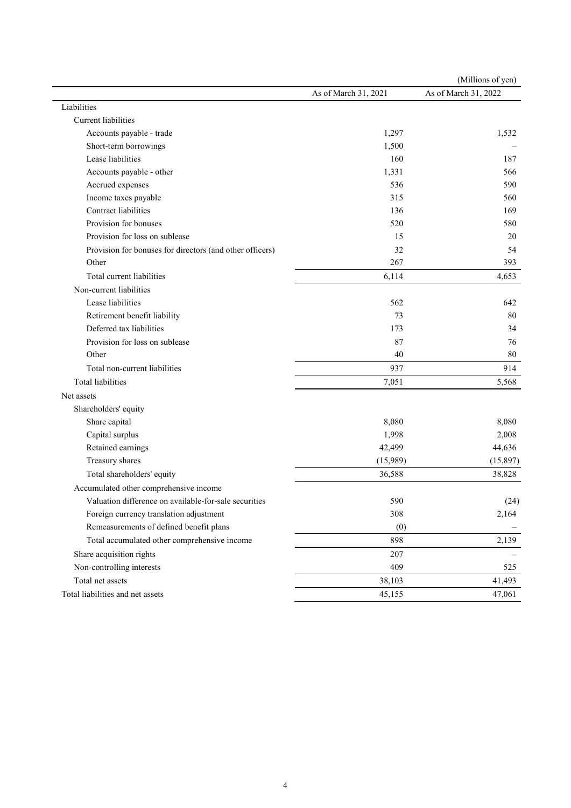|                                                          |                      | (Millions of yen)    |
|----------------------------------------------------------|----------------------|----------------------|
|                                                          | As of March 31, 2021 | As of March 31, 2022 |
| Liabilities                                              |                      |                      |
| Current liabilities                                      |                      |                      |
| Accounts payable - trade                                 | 1,297                | 1,532                |
| Short-term borrowings                                    | 1,500                |                      |
| Lease liabilities                                        | 160                  | 187                  |
| Accounts payable - other                                 | 1,331                | 566                  |
| Accrued expenses                                         | 536                  | 590                  |
| Income taxes payable                                     | 315                  | 560                  |
| Contract liabilities                                     | 136                  | 169                  |
| Provision for bonuses                                    | 520                  | 580                  |
| Provision for loss on sublease                           | 15                   | 20                   |
| Provision for bonuses for directors (and other officers) | 32                   | 54                   |
| Other                                                    | 267                  | 393                  |
| Total current liabilities                                | 6,114                | 4,653                |
| Non-current liabilities                                  |                      |                      |
| Lease liabilities                                        | 562                  | 642                  |
| Retirement benefit liability                             | 73                   | 80                   |
| Deferred tax liabilities                                 | 173                  | 34                   |
| Provision for loss on sublease                           | 87                   | 76                   |
| Other                                                    | 40                   | 80                   |
| Total non-current liabilities                            | 937                  | 914                  |
| Total liabilities                                        | 7,051                | 5,568                |
| Net assets                                               |                      |                      |
| Shareholders' equity                                     |                      |                      |
| Share capital                                            | 8,080                | 8,080                |
| Capital surplus                                          | 1,998                | 2,008                |
| Retained earnings                                        | 42,499               | 44,636               |
| Treasury shares                                          | (15,989)             | (15,897)             |
| Total shareholders' equity                               | 36,588               | 38,828               |
| Accumulated other comprehensive income                   |                      |                      |
| Valuation difference on available-for-sale securities    | 590                  | (24)                 |
| Foreign currency translation adjustment                  | 308                  | 2,164                |
| Remeasurements of defined benefit plans                  | (0)                  |                      |
| Total accumulated other comprehensive income             | 898                  | 2,139                |
| Share acquisition rights                                 | 207                  |                      |
| Non-controlling interests                                | 409                  | 525                  |
| Total net assets                                         | 38,103               | 41,493               |
| Total liabilities and net assets                         | 45,155               | 47,061               |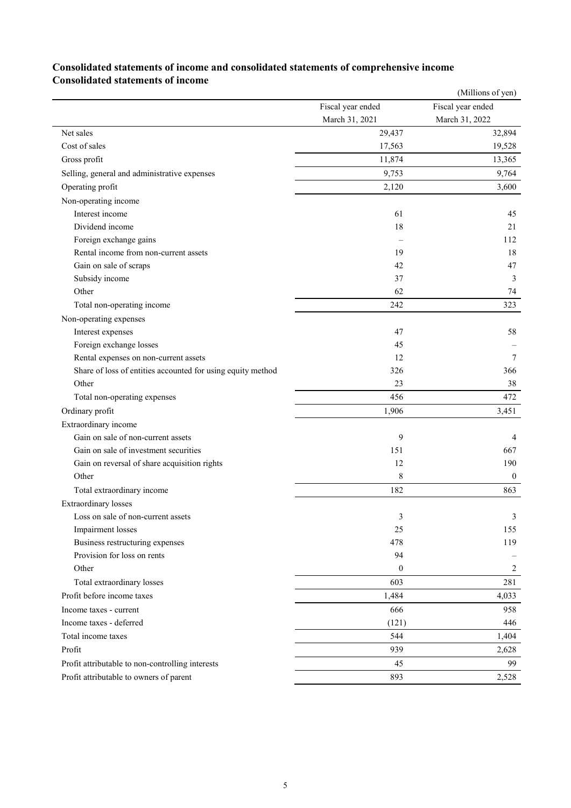### **Consolidated statements of income and consolidated statements of comprehensive income Consolidated statements of income**

|                                                             |                   | (Millions of yen) |
|-------------------------------------------------------------|-------------------|-------------------|
|                                                             | Fiscal year ended | Fiscal year ended |
|                                                             | March 31, 2021    | March 31, 2022    |
| Net sales                                                   | 29,437            | 32,894            |
| Cost of sales                                               | 17,563            | 19,528            |
| Gross profit                                                | 11,874            | 13,365            |
| Selling, general and administrative expenses                | 9,753             | 9,764             |
| Operating profit                                            | 2,120             | 3,600             |
| Non-operating income                                        |                   |                   |
| Interest income                                             | 61                | 45                |
| Dividend income                                             | 18                | 21                |
| Foreign exchange gains                                      |                   | 112               |
| Rental income from non-current assets                       | 19                | 18                |
| Gain on sale of scraps                                      | 42                | 47                |
| Subsidy income                                              | 37                | 3                 |
| Other                                                       | 62                | 74                |
| Total non-operating income                                  | 242               | 323               |
| Non-operating expenses                                      |                   |                   |
| Interest expenses                                           | 47                | 58                |
| Foreign exchange losses                                     | 45                |                   |
| Rental expenses on non-current assets                       | 12                | 7                 |
| Share of loss of entities accounted for using equity method | 326               | 366               |
| Other                                                       | 23                | 38                |
| Total non-operating expenses                                | 456               | 472               |
| Ordinary profit                                             | 1,906             | 3,451             |
| Extraordinary income                                        |                   |                   |
| Gain on sale of non-current assets                          | 9                 | 4                 |
| Gain on sale of investment securities                       | 151               | 667               |
| Gain on reversal of share acquisition rights                | 12                | 190               |
| Other                                                       | 8                 | $\theta$          |
| Total extraordinary income                                  | 182               | 863               |
| <b>Extraordinary losses</b>                                 |                   |                   |
| Loss on sale of non-current assets                          | 3                 | 3                 |
| Impairment losses                                           | 25                | 155               |
| Business restructuring expenses                             | 478               | 119               |
| Provision for loss on rents                                 | 94                |                   |
| Other                                                       | $\boldsymbol{0}$  | 2                 |
| Total extraordinary losses                                  | 603               | 281               |
| Profit before income taxes                                  | 1,484             | 4,033             |
| Income taxes - current                                      | 666               | 958               |
| Income taxes - deferred                                     | (121)             | 446               |
| Total income taxes                                          | 544               | 1,404             |
| Profit                                                      | 939               | 2,628             |
| Profit attributable to non-controlling interests            | 45                | 99                |
| Profit attributable to owners of parent                     | 893               | 2,528             |
|                                                             |                   |                   |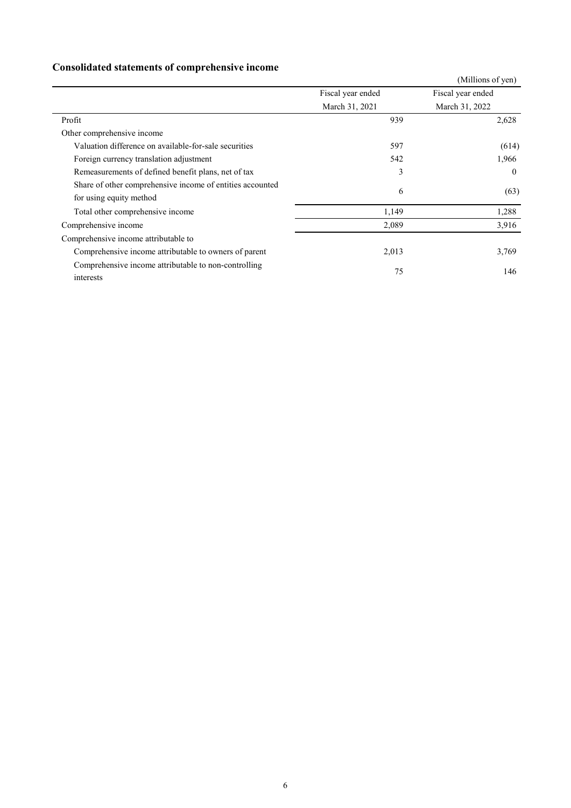## **Consolidated statements of comprehensive income**

|                                                                                      |                   | (Millions of yen) |
|--------------------------------------------------------------------------------------|-------------------|-------------------|
|                                                                                      | Fiscal year ended | Fiscal year ended |
|                                                                                      | March 31, 2021    | March 31, 2022    |
| Profit                                                                               | 939               | 2,628             |
| Other comprehensive income                                                           |                   |                   |
| Valuation difference on available-for-sale securities                                | 597               | (614)             |
| Foreign currency translation adjustment                                              | 542               | 1,966             |
| Remeasurements of defined benefit plans, net of tax                                  | 3                 | $\theta$          |
| Share of other comprehensive income of entities accounted<br>for using equity method | 6                 | (63)              |
| Total other comprehensive income                                                     | 1,149             | 1,288             |
| Comprehensive income                                                                 | 2,089             | 3,916             |
| Comprehensive income attributable to                                                 |                   |                   |
| Comprehensive income attributable to owners of parent                                | 2,013             | 3,769             |
| Comprehensive income attributable to non-controlling<br>interests                    | 75                | 146               |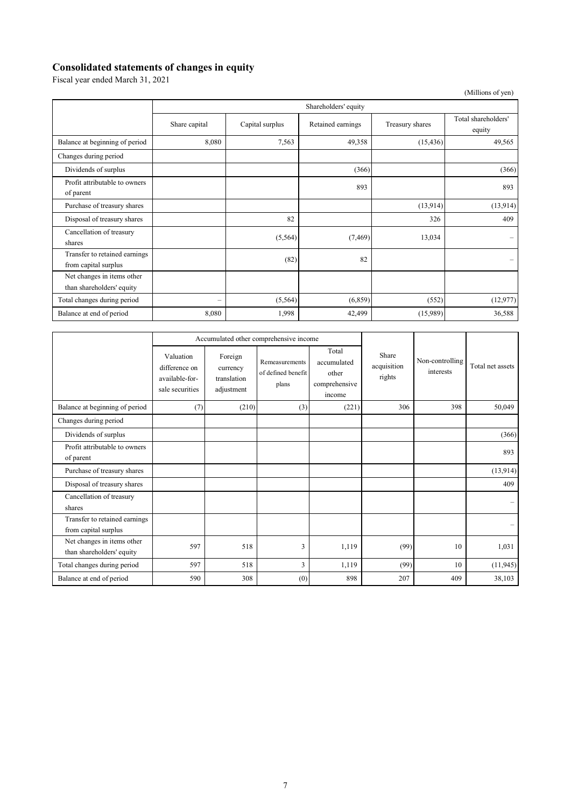## **Consolidated statements of changes in equity**

Fiscal year ended March 31, 2021

|                                                         |                          |                 |                   |                 | (Millions of yen)             |  |
|---------------------------------------------------------|--------------------------|-----------------|-------------------|-----------------|-------------------------------|--|
|                                                         | Shareholders' equity     |                 |                   |                 |                               |  |
|                                                         | Share capital            | Capital surplus | Retained earnings | Treasury shares | Total shareholders'<br>equity |  |
| Balance at beginning of period                          | 8,080                    | 7,563           | 49,358            | (15, 436)       | 49,565                        |  |
| Changes during period                                   |                          |                 |                   |                 |                               |  |
| Dividends of surplus                                    |                          |                 | (366)             |                 | (366)                         |  |
| Profit attributable to owners<br>of parent              |                          |                 | 893               |                 | 893                           |  |
| Purchase of treasury shares                             |                          |                 |                   | (13,914)        | (13, 914)                     |  |
| Disposal of treasury shares                             |                          | 82              |                   | 326             | 409                           |  |
| Cancellation of treasury<br>shares                      |                          | (5,564)         | (7, 469)          | 13,034          | $\qquad \qquad -$             |  |
| Transfer to retained earnings<br>from capital surplus   |                          | (82)            | 82                |                 | $\overline{\phantom{0}}$      |  |
| Net changes in items other<br>than shareholders' equity |                          |                 |                   |                 |                               |  |
| Total changes during period                             | $\overline{\phantom{0}}$ | (5, 564)        | (6,859)           | (552)           | (12, 977)                     |  |
| Balance at end of period                                | 8,080                    | 1,998           | 42,499            | (15,989)        | 36,588                        |  |

|                                                         |                                                                 |                                                  | Accumulated other comprehensive income        |                                                          |                                |                              |                  |
|---------------------------------------------------------|-----------------------------------------------------------------|--------------------------------------------------|-----------------------------------------------|----------------------------------------------------------|--------------------------------|------------------------------|------------------|
|                                                         | Valuation<br>difference on<br>available-for-<br>sale securities | Foreign<br>currency<br>translation<br>adjustment | Remeasurements<br>of defined benefit<br>plans | Total<br>accumulated<br>other<br>comprehensive<br>income | Share<br>acquisition<br>rights | Non-controlling<br>interests | Total net assets |
| Balance at beginning of period                          | (7)                                                             | (210)                                            | (3)                                           | (221)                                                    | 306                            | 398                          | 50,049           |
| Changes during period                                   |                                                                 |                                                  |                                               |                                                          |                                |                              |                  |
| Dividends of surplus                                    |                                                                 |                                                  |                                               |                                                          |                                |                              | (366)            |
| Profit attributable to owners<br>of parent              |                                                                 |                                                  |                                               |                                                          |                                |                              | 893              |
| Purchase of treasury shares                             |                                                                 |                                                  |                                               |                                                          |                                |                              | (13, 914)        |
| Disposal of treasury shares                             |                                                                 |                                                  |                                               |                                                          |                                |                              | 409              |
| Cancellation of treasury<br>shares                      |                                                                 |                                                  |                                               |                                                          |                                |                              |                  |
| Transfer to retained earnings<br>from capital surplus   |                                                                 |                                                  |                                               |                                                          |                                |                              |                  |
| Net changes in items other<br>than shareholders' equity | 597                                                             | 518                                              | 3                                             | 1,119                                                    | (99)                           | 10                           | 1,031            |
| Total changes during period                             | 597                                                             | 518                                              | 3                                             | 1,119                                                    | (99)                           | 10                           | (11, 945)        |
| Balance at end of period                                | 590                                                             | 308                                              | (0)                                           | 898                                                      | 207                            | 409                          | 38,103           |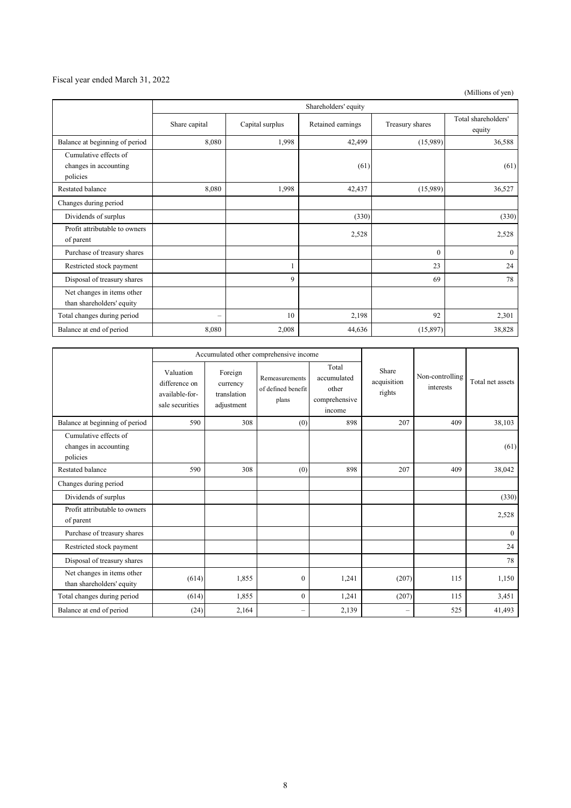#### Fiscal year ended March 31, 2022

(Millions of yen)

|                                                            | Shareholders' equity     |                 |                   |                 |                               |
|------------------------------------------------------------|--------------------------|-----------------|-------------------|-----------------|-------------------------------|
|                                                            | Share capital            | Capital surplus | Retained earnings | Treasury shares | Total shareholders'<br>equity |
| Balance at beginning of period                             | 8,080                    | 1,998           | 42,499            | (15,989)        | 36,588                        |
| Cumulative effects of<br>changes in accounting<br>policies |                          |                 | (61)              |                 | (61)                          |
| <b>Restated balance</b>                                    | 8,080                    | 1,998           | 42,437            | (15,989)        | 36,527                        |
| Changes during period                                      |                          |                 |                   |                 |                               |
| Dividends of surplus                                       |                          |                 | (330)             |                 | (330)                         |
| Profit attributable to owners<br>of parent                 |                          |                 | 2,528             |                 | 2,528                         |
| Purchase of treasury shares                                |                          |                 |                   | $\theta$        | $\mathbf{0}$                  |
| Restricted stock payment                                   |                          |                 |                   | 23              | 24                            |
| Disposal of treasury shares                                |                          | 9               |                   | 69              | 78                            |
| Net changes in items other<br>than shareholders' equity    |                          |                 |                   |                 |                               |
| Total changes during period                                | $\overline{\phantom{0}}$ | 10              | 2,198             | 92              | 2,301                         |
| Balance at end of period                                   | 8,080                    | 2,008           | 44,636            | (15, 897)       | 38,828                        |

|                                                            |                                                                 |                                                  | Accumulated other comprehensive income        |                                                          |                                |                              |                  |
|------------------------------------------------------------|-----------------------------------------------------------------|--------------------------------------------------|-----------------------------------------------|----------------------------------------------------------|--------------------------------|------------------------------|------------------|
|                                                            | Valuation<br>difference on<br>available-for-<br>sale securities | Foreign<br>currency<br>translation<br>adjustment | Remeasurements<br>of defined benefit<br>plans | Total<br>accumulated<br>other<br>comprehensive<br>income | Share<br>acquisition<br>rights | Non-controlling<br>interests | Total net assets |
| Balance at beginning of period                             | 590                                                             | 308                                              | (0)                                           | 898                                                      | 207                            | 409                          | 38,103           |
| Cumulative effects of<br>changes in accounting<br>policies |                                                                 |                                                  |                                               |                                                          |                                |                              | (61)             |
| Restated balance                                           | 590                                                             | 308                                              | (0)                                           | 898                                                      | 207                            | 409                          | 38,042           |
| Changes during period                                      |                                                                 |                                                  |                                               |                                                          |                                |                              |                  |
| Dividends of surplus                                       |                                                                 |                                                  |                                               |                                                          |                                |                              | (330)            |
| Profit attributable to owners<br>of parent                 |                                                                 |                                                  |                                               |                                                          |                                |                              | 2,528            |
| Purchase of treasury shares                                |                                                                 |                                                  |                                               |                                                          |                                |                              | $\mathbf{0}$     |
| Restricted stock payment                                   |                                                                 |                                                  |                                               |                                                          |                                |                              | 24               |
| Disposal of treasury shares                                |                                                                 |                                                  |                                               |                                                          |                                |                              | 78               |
| Net changes in items other<br>than shareholders' equity    | (614)                                                           | 1,855                                            | $\mathbf{0}$                                  | 1,241                                                    | (207)                          | 115                          | 1,150            |
| Total changes during period                                | (614)                                                           | 1,855                                            | $\theta$                                      | 1,241                                                    | (207)                          | 115                          | 3,451            |
| Balance at end of period                                   | (24)                                                            | 2,164                                            | $\overline{\phantom{0}}$                      | 2,139                                                    |                                | 525                          | 41,493           |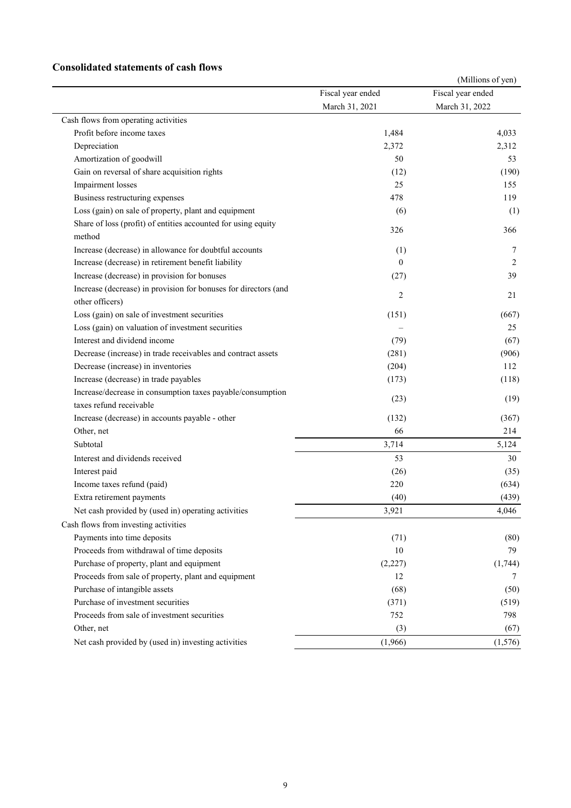#### **Consolidated statements of cash flows**

|                                                                                                  |                   | (Millions of yen) |
|--------------------------------------------------------------------------------------------------|-------------------|-------------------|
|                                                                                                  | Fiscal year ended | Fiscal year ended |
|                                                                                                  | March 31, 2021    | March 31, 2022    |
| Cash flows from operating activities                                                             |                   |                   |
| Profit before income taxes                                                                       | 1,484             | 4,033             |
| Depreciation                                                                                     | 2,372             | 2,312             |
| Amortization of goodwill                                                                         | 50                | 53                |
| Gain on reversal of share acquisition rights                                                     | (12)              | (190)             |
| Impairment losses                                                                                | 25                | 155               |
| Business restructuring expenses                                                                  | 478               | 119               |
| Loss (gain) on sale of property, plant and equipment                                             | (6)               | (1)               |
| Share of loss (profit) of entities accounted for using equity<br>method                          | 326               | 366               |
| Increase (decrease) in allowance for doubtful accounts                                           | (1)               | 7                 |
| Increase (decrease) in retirement benefit liability                                              | $\theta$          | 2                 |
| Increase (decrease) in provision for bonuses                                                     | (27)              | 39                |
| Increase (decrease) in provision for bonuses for directors (and                                  |                   |                   |
| other officers)                                                                                  | 2                 | 21                |
| Loss (gain) on sale of investment securities                                                     | (151)             | (667)             |
| Loss (gain) on valuation of investment securities                                                |                   | 25                |
| Interest and dividend income                                                                     | (79)              | (67)              |
| Decrease (increase) in trade receivables and contract assets                                     | (281)             | (906)             |
| Decrease (increase) in inventories                                                               | (204)             | 112               |
| Increase (decrease) in trade payables                                                            | (173)             | (118)             |
| Increase/decrease in consumption taxes payable/consumption                                       |                   |                   |
| taxes refund receivable                                                                          | (23)              | (19)              |
| Increase (decrease) in accounts payable - other                                                  | (132)             | (367)             |
| Other, net                                                                                       | 66                | 214               |
| Subtotal                                                                                         | 3,714             | 5,124             |
| Interest and dividends received                                                                  | 53                | 30                |
| Interest paid                                                                                    | (26)              | (35)              |
| Income taxes refund (paid)                                                                       | 220               | (634)             |
| Extra retirement payments                                                                        | (40)              | (439)             |
| Net cash provided by (used in) operating activities                                              | 3,921             | 4,046             |
| Cash flows from investing activities                                                             |                   |                   |
| Payments into time deposits                                                                      |                   |                   |
| Proceeds from withdrawal of time deposits                                                        | (71)<br>10        | (80)<br>79        |
|                                                                                                  |                   |                   |
| Purchase of property, plant and equipment<br>Proceeds from sale of property, plant and equipment | (2,227)<br>12     | (1,744)           |
|                                                                                                  |                   | 7                 |
| Purchase of intangible assets<br>Purchase of investment securities                               | (68)              | (50)              |
|                                                                                                  | (371)             | (519)             |
| Proceeds from sale of investment securities                                                      | 752               | 798               |
| Other, net                                                                                       | (3)               | (67)              |
| Net cash provided by (used in) investing activities                                              | (1,966)           | (1,576)           |